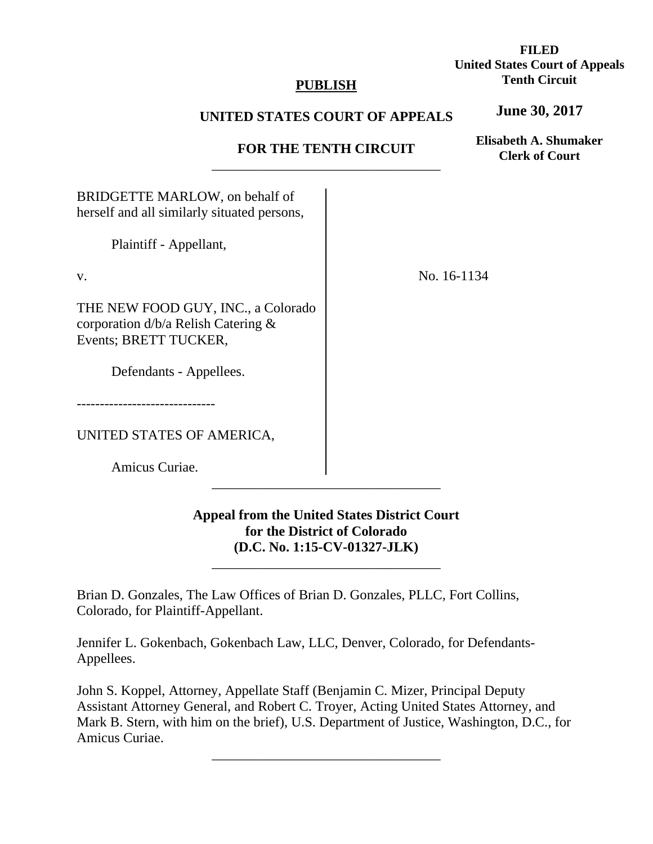## **PUBLISH**

# **FILED United States Court of Appeals Tenth Circuit**

### **UNITED STATES COURT OF APPEALS**

## **FOR THE TENTH CIRCUIT**  \_\_\_\_\_\_\_\_\_\_\_\_\_\_\_\_\_\_\_\_\_\_\_\_\_\_\_\_\_\_\_\_\_

**Elisabeth A. Shumaker Clerk of Court**

**June 30, 2017**

BRIDGETTE MARLOW, on behalf of herself and all similarly situated persons,

Plaintiff - Appellant,

v.

THE NEW FOOD GUY, INC., a Colorado corporation d/b/a Relish Catering & Events; BRETT TUCKER,

Defendants - Appellees.

------------------------------

UNITED STATES OF AMERICA,

Amicus Curiae.

**Appeal from the United States District Court for the District of Colorado (D.C. No. 1:15-CV-01327-JLK)**

\_\_\_\_\_\_\_\_\_\_\_\_\_\_\_\_\_\_\_\_\_\_\_\_\_\_\_\_\_\_\_\_\_

\_\_\_\_\_\_\_\_\_\_\_\_\_\_\_\_\_\_\_\_\_\_\_\_\_\_\_\_\_\_\_\_\_

Brian D. Gonzales, The Law Offices of Brian D. Gonzales, PLLC, Fort Collins, Colorado, for Plaintiff-Appellant.

Jennifer L. Gokenbach, Gokenbach Law, LLC, Denver, Colorado, for Defendants-Appellees.

John S. Koppel, Attorney, Appellate Staff (Benjamin C. Mizer, Principal Deputy Assistant Attorney General, and Robert C. Troyer, Acting United States Attorney, and Mark B. Stern, with him on the brief), U.S. Department of Justice, Washington, D.C., for Amicus Curiae.

\_\_\_\_\_\_\_\_\_\_\_\_\_\_\_\_\_\_\_\_\_\_\_\_\_\_\_\_\_\_\_\_\_

No. 16-1134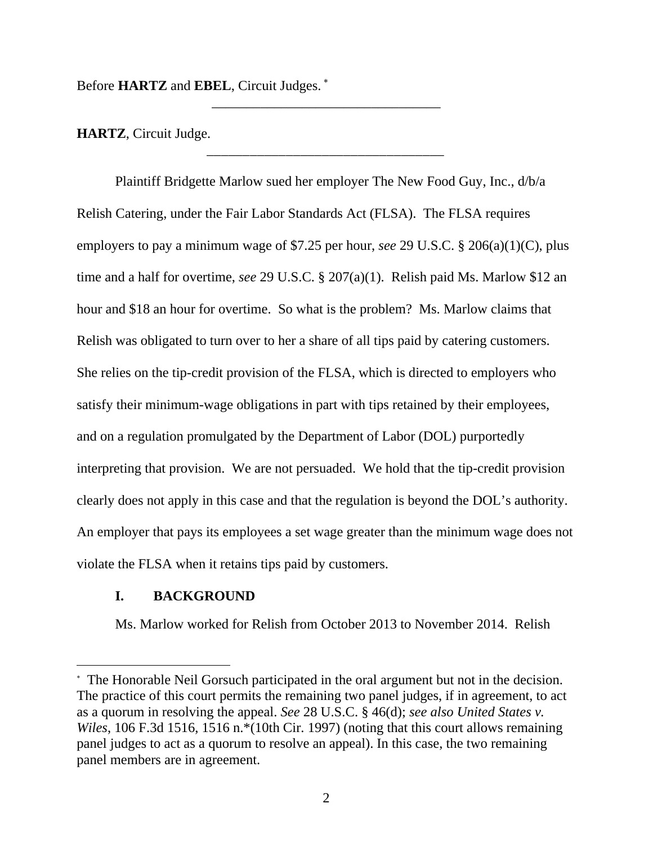Before **HARTZ** and **EBEL**, Circuit Judges.

**HARTZ**, Circuit Judge.

Plaintiff Bridgette Marlow sued her employer The New Food Guy, Inc., d/b/a Relish Catering, under the Fair Labor Standards Act (FLSA). The FLSA requires employers to pay a minimum wage of \$7.25 per hour, *see* 29 U.S.C. § 206(a)(1)(C), plus time and a half for overtime, *see* 29 U.S.C. § 207(a)(1). Relish paid Ms. Marlow \$12 an hour and \$18 an hour for overtime. So what is the problem? Ms. Marlow claims that Relish was obligated to turn over to her a share of all tips paid by catering customers. She relies on the tip-credit provision of the FLSA, which is directed to employers who satisfy their minimum-wage obligations in part with tips retained by their employees, and on a regulation promulgated by the Department of Labor (DOL) purportedly interpreting that provision. We are not persuaded. We hold that the tip-credit provision clearly does not apply in this case and that the regulation is beyond the DOL's authority. An employer that pays its employees a set wage greater than the minimum wage does not violate the FLSA when it retains tips paid by customers.

\_\_\_\_\_\_\_\_\_\_\_\_\_\_\_\_\_\_\_\_\_\_\_\_\_\_\_\_\_\_\_\_\_

\_\_\_\_\_\_\_\_\_\_\_\_\_\_\_\_\_\_\_\_\_\_\_\_\_\_\_\_\_\_\_\_\_

## **I. BACKGROUND**

 $\overline{a}$ 

Ms. Marlow worked for Relish from October 2013 to November 2014. Relish

 The Honorable Neil Gorsuch participated in the oral argument but not in the decision. The practice of this court permits the remaining two panel judges, if in agreement, to act as a quorum in resolving the appeal. *See* 28 U.S.C. § 46(d); *see also United States v. Wiles*, 106 F.3d 1516, 1516 n.\*(10th Cir. 1997) (noting that this court allows remaining panel judges to act as a quorum to resolve an appeal). In this case, the two remaining panel members are in agreement.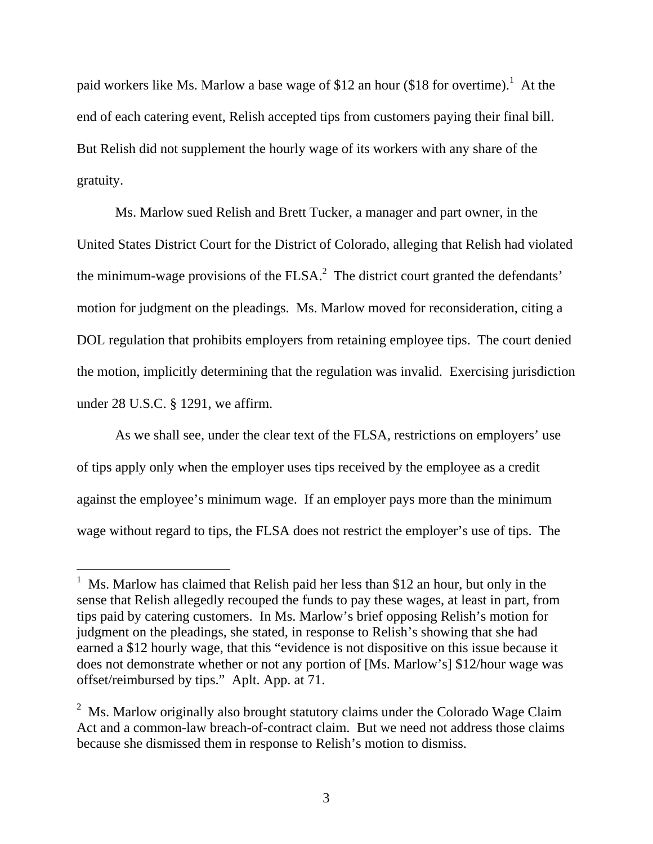paid workers like Ms. Marlow a base wage of \$12 an hour (\$18 for overtime).<sup>1</sup> At the end of each catering event, Relish accepted tips from customers paying their final bill. But Relish did not supplement the hourly wage of its workers with any share of the gratuity.

Ms. Marlow sued Relish and Brett Tucker, a manager and part owner, in the United States District Court for the District of Colorado, alleging that Relish had violated the minimum-wage provisions of the FLSA.<sup>2</sup> The district court granted the defendants' motion for judgment on the pleadings. Ms. Marlow moved for reconsideration, citing a DOL regulation that prohibits employers from retaining employee tips. The court denied the motion, implicitly determining that the regulation was invalid. Exercising jurisdiction under 28 U.S.C. § 1291, we affirm.

As we shall see, under the clear text of the FLSA, restrictions on employers' use of tips apply only when the employer uses tips received by the employee as a credit against the employee's minimum wage. If an employer pays more than the minimum wage without regard to tips, the FLSA does not restrict the employer's use of tips. The

 $\overline{a}$ 

 $<sup>1</sup>$  Ms. Marlow has claimed that Relish paid her less than \$12 an hour, but only in the</sup> sense that Relish allegedly recouped the funds to pay these wages, at least in part, from tips paid by catering customers. In Ms. Marlow's brief opposing Relish's motion for judgment on the pleadings, she stated, in response to Relish's showing that she had earned a \$12 hourly wage, that this "evidence is not dispositive on this issue because it does not demonstrate whether or not any portion of [Ms. Marlow's] \$12/hour wage was offset/reimbursed by tips." Aplt. App. at 71.

<sup>&</sup>lt;sup>2</sup> Ms. Marlow originally also brought statutory claims under the Colorado Wage Claim Act and a common-law breach-of-contract claim. But we need not address those claims because she dismissed them in response to Relish's motion to dismiss.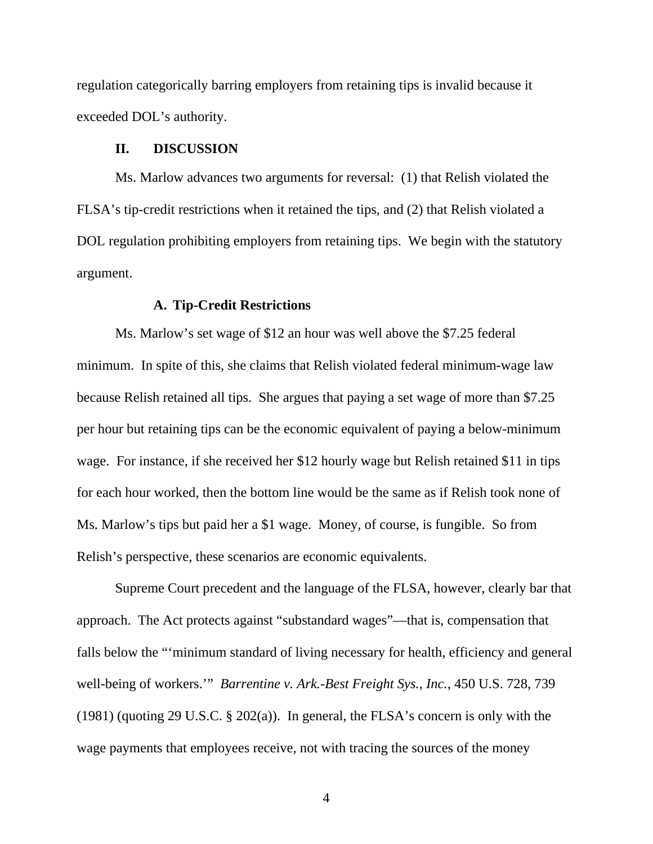regulation categorically barring employers from retaining tips is invalid because it exceeded DOL's authority.

#### **II. DISCUSSION**

Ms. Marlow advances two arguments for reversal: (1) that Relish violated the FLSA's tip-credit restrictions when it retained the tips, and (2) that Relish violated a DOL regulation prohibiting employers from retaining tips. We begin with the statutory argument.

#### **A. Tip-Credit Restrictions**

Ms. Marlow's set wage of \$12 an hour was well above the \$7.25 federal minimum. In spite of this, she claims that Relish violated federal minimum-wage law because Relish retained all tips. She argues that paying a set wage of more than \$7.25 per hour but retaining tips can be the economic equivalent of paying a below-minimum wage. For instance, if she received her \$12 hourly wage but Relish retained \$11 in tips for each hour worked, then the bottom line would be the same as if Relish took none of Ms. Marlow's tips but paid her a \$1 wage. Money, of course, is fungible. So from Relish's perspective, these scenarios are economic equivalents.

 Supreme Court precedent and the language of the FLSA, however, clearly bar that approach. The Act protects against "substandard wages"—that is, compensation that falls below the "'minimum standard of living necessary for health, efficiency and general well-being of workers.'" *Barrentine v. Ark.-Best Freight Sys., Inc.*, 450 U.S. 728, 739 (1981) (quoting 29 U.S.C. § 202(a)). In general, the FLSA's concern is only with the wage payments that employees receive, not with tracing the sources of the money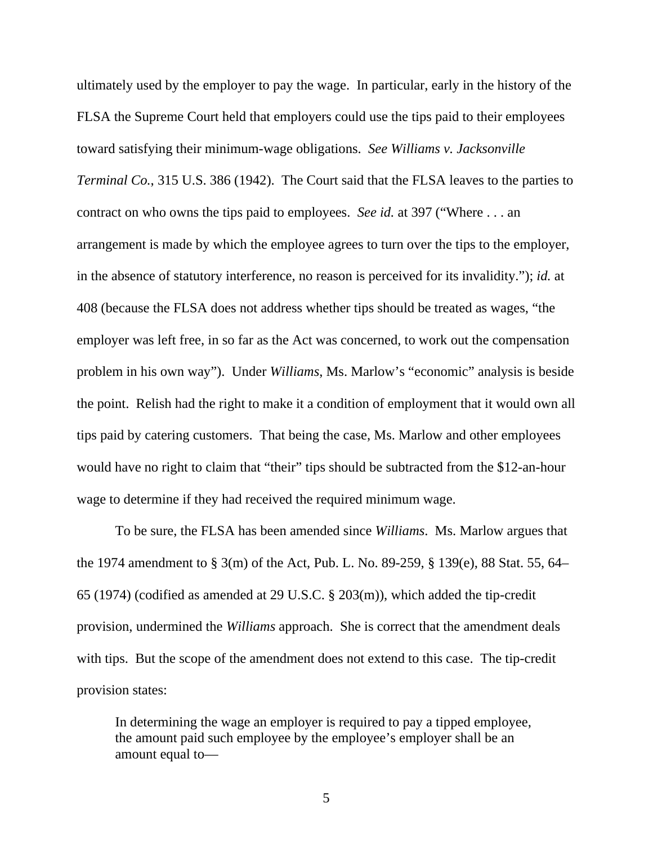ultimately used by the employer to pay the wage. In particular, early in the history of the FLSA the Supreme Court held that employers could use the tips paid to their employees toward satisfying their minimum-wage obligations. *See Williams v. Jacksonville Terminal Co.*, 315 U.S. 386 (1942). The Court said that the FLSA leaves to the parties to contract on who owns the tips paid to employees. *See id.* at 397 ("Where . . . an arrangement is made by which the employee agrees to turn over the tips to the employer, in the absence of statutory interference, no reason is perceived for its invalidity."); *id.* at 408 (because the FLSA does not address whether tips should be treated as wages, "the employer was left free, in so far as the Act was concerned, to work out the compensation problem in his own way"). Under *Williams*, Ms. Marlow's "economic" analysis is beside the point. Relish had the right to make it a condition of employment that it would own all tips paid by catering customers. That being the case, Ms. Marlow and other employees would have no right to claim that "their" tips should be subtracted from the \$12-an-hour wage to determine if they had received the required minimum wage.

To be sure, the FLSA has been amended since *Williams*. Ms. Marlow argues that the 1974 amendment to § 3(m) of the Act, Pub. L. No. 89-259, § 139(e), 88 Stat. 55, 64– 65 (1974) (codified as amended at 29 U.S.C. § 203(m)), which added the tip-credit provision, undermined the *Williams* approach. She is correct that the amendment deals with tips. But the scope of the amendment does not extend to this case. The tip-credit provision states:

In determining the wage an employer is required to pay a tipped employee, the amount paid such employee by the employee's employer shall be an amount equal to—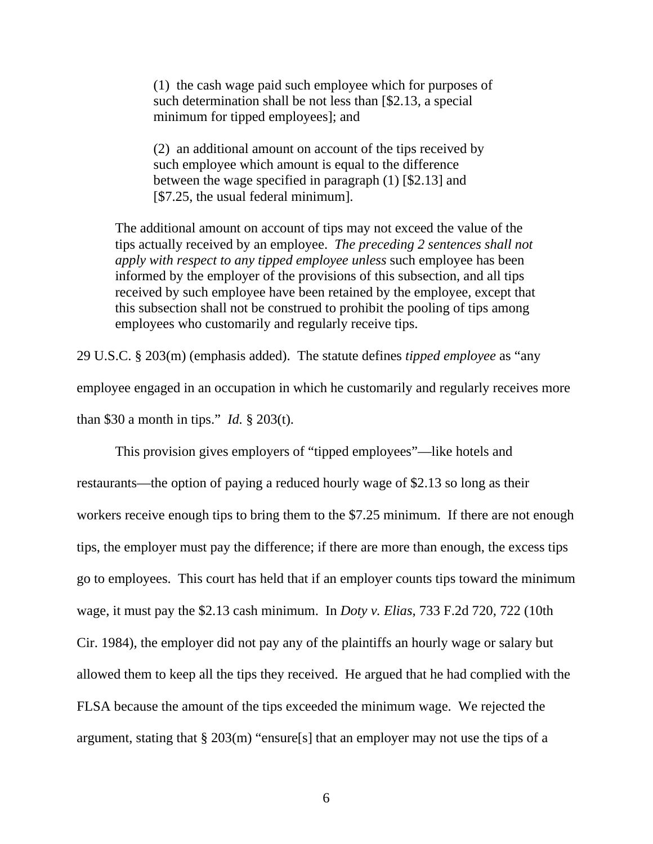(1) the cash wage paid such employee which for purposes of such determination shall be not less than [\$2.13, a special minimum for tipped employees]; and

(2) an additional amount on account of the tips received by such employee which amount is equal to the difference between the wage specified in paragraph (1) [\$2.13] and [\$7.25, the usual federal minimum].

The additional amount on account of tips may not exceed the value of the tips actually received by an employee. *The preceding 2 sentences shall not apply with respect to any tipped employee unless* such employee has been informed by the employer of the provisions of this subsection, and all tips received by such employee have been retained by the employee, except that this subsection shall not be construed to prohibit the pooling of tips among employees who customarily and regularly receive tips.

29 U.S.C. § 203(m) (emphasis added).The statute defines *tipped employee* as "any employee engaged in an occupation in which he customarily and regularly receives more than \$30 a month in tips." *Id.* § 203(t).

This provision gives employers of "tipped employees"—like hotels and restaurants—the option of paying a reduced hourly wage of \$2.13 so long as their workers receive enough tips to bring them to the \$7.25 minimum. If there are not enough tips, the employer must pay the difference; if there are more than enough, the excess tips go to employees. This court has held that if an employer counts tips toward the minimum wage, it must pay the \$2.13 cash minimum. In *Doty v. Elias*, 733 F.2d 720, 722 (10th Cir. 1984), the employer did not pay any of the plaintiffs an hourly wage or salary but allowed them to keep all the tips they received. He argued that he had complied with the FLSA because the amount of the tips exceeded the minimum wage. We rejected the argument, stating that § 203(m) "ensure[s] that an employer may not use the tips of a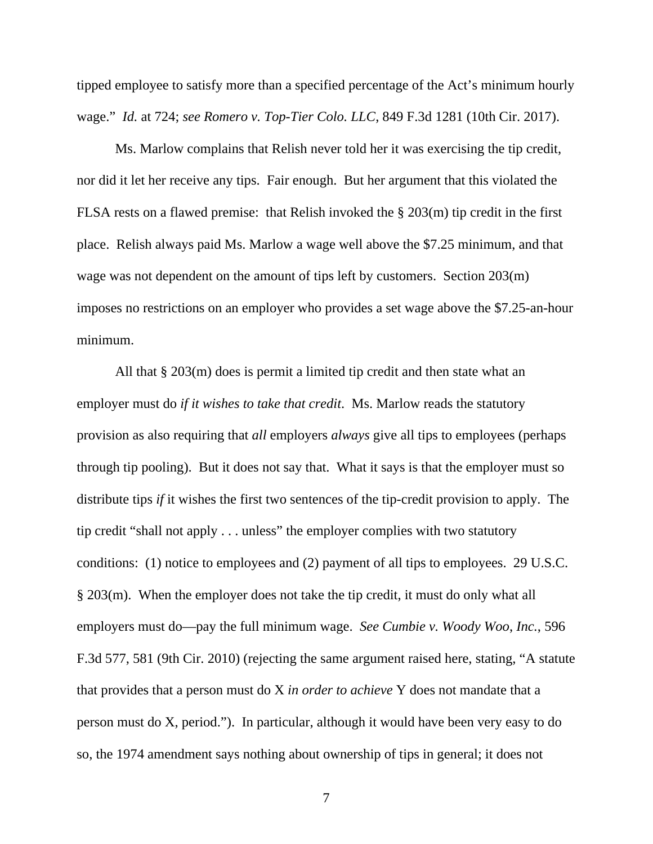tipped employee to satisfy more than a specified percentage of the Act's minimum hourly wage." *Id.* at 724; *see Romero v. Top-Tier Colo. LLC*, 849 F.3d 1281 (10th Cir. 2017).

Ms. Marlow complains that Relish never told her it was exercising the tip credit, nor did it let her receive any tips. Fair enough. But her argument that this violated the FLSA rests on a flawed premise: that Relish invoked the § 203(m) tip credit in the first place. Relish always paid Ms. Marlow a wage well above the \$7.25 minimum, and that wage was not dependent on the amount of tips left by customers. Section 203(m) imposes no restrictions on an employer who provides a set wage above the \$7.25-an-hour minimum.

All that § 203(m) does is permit a limited tip credit and then state what an employer must do *if it wishes to take that credit*. Ms. Marlow reads the statutory provision as also requiring that *all* employers *always* give all tips to employees (perhaps through tip pooling). But it does not say that. What it says is that the employer must so distribute tips *if* it wishes the first two sentences of the tip-credit provision to apply. The tip credit "shall not apply . . . unless" the employer complies with two statutory conditions: (1) notice to employees and (2) payment of all tips to employees. 29 U.S.C. § 203(m). When the employer does not take the tip credit, it must do only what all employers must do—pay the full minimum wage. *See Cumbie v. Woody Woo*, *Inc.*, 596 F.3d 577, 581 (9th Cir. 2010) (rejecting the same argument raised here, stating, "A statute that provides that a person must do X *in order to achieve* Y does not mandate that a person must do X, period."). In particular, although it would have been very easy to do so, the 1974 amendment says nothing about ownership of tips in general; it does not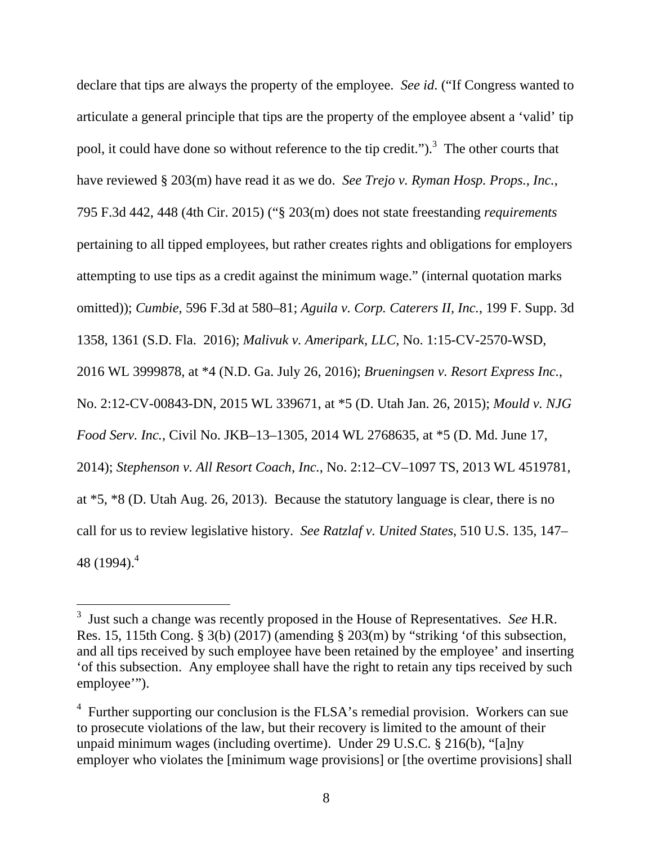declare that tips are always the property of the employee. *See id*. ("If Congress wanted to articulate a general principle that tips are the property of the employee absent a 'valid' tip pool, it could have done so without reference to the tip credit." $\cdot$ <sup>3</sup>. The other courts that have reviewed § 203(m) have read it as we do. *See Trejo v. Ryman Hosp. Props., Inc.*, 795 F.3d 442, 448 (4th Cir. 2015) ("§ 203(m) does not state freestanding *requirements* pertaining to all tipped employees, but rather creates rights and obligations for employers attempting to use tips as a credit against the minimum wage." (internal quotation marks omitted)); *Cumbie,* 596 F.3d at 580–81; *Aguila v. Corp. Caterers II, Inc.*, 199 F. Supp. 3d 1358, 1361 (S.D. Fla. 2016); *Malivuk v. Ameripark, LLC*, No. 1:15-CV-2570-WSD, 2016 WL 3999878, at \*4 (N.D. Ga. July 26, 2016); *Brueningsen v. Resort Express Inc.*, No. 2:12-CV-00843-DN, 2015 WL 339671, at \*5 (D. Utah Jan. 26, 2015); *Mould v. NJG Food Serv. Inc.*, Civil No. JKB–13–1305, 2014 WL 2768635, at \*5 (D. Md. June 17, 2014); *Stephenson v. All Resort Coach, Inc.*, No. 2:12–CV–1097 TS, 2013 WL 4519781, at \*5, \*8 (D. Utah Aug. 26, 2013). Because the statutory language is clear, there is no call for us to review legislative history. *See Ratzlaf v. United States*, 510 U.S. 135, 147– 48 (1994).<sup>4</sup>

 $\overline{a}$ 

<sup>3</sup> Just such a change was recently proposed in the House of Representatives. *See* H.R. Res. 15, 115th Cong. § 3(b) (2017) (amending § 203(m) by "striking 'of this subsection, and all tips received by such employee have been retained by the employee' and inserting 'of this subsection. Any employee shall have the right to retain any tips received by such employee'").

<sup>&</sup>lt;sup>4</sup> Further supporting our conclusion is the FLSA's remedial provision. Workers can sue to prosecute violations of the law, but their recovery is limited to the amount of their unpaid minimum wages (including overtime). Under 29 U.S.C. § 216(b), "[a]ny employer who violates the [minimum wage provisions] or [the overtime provisions] shall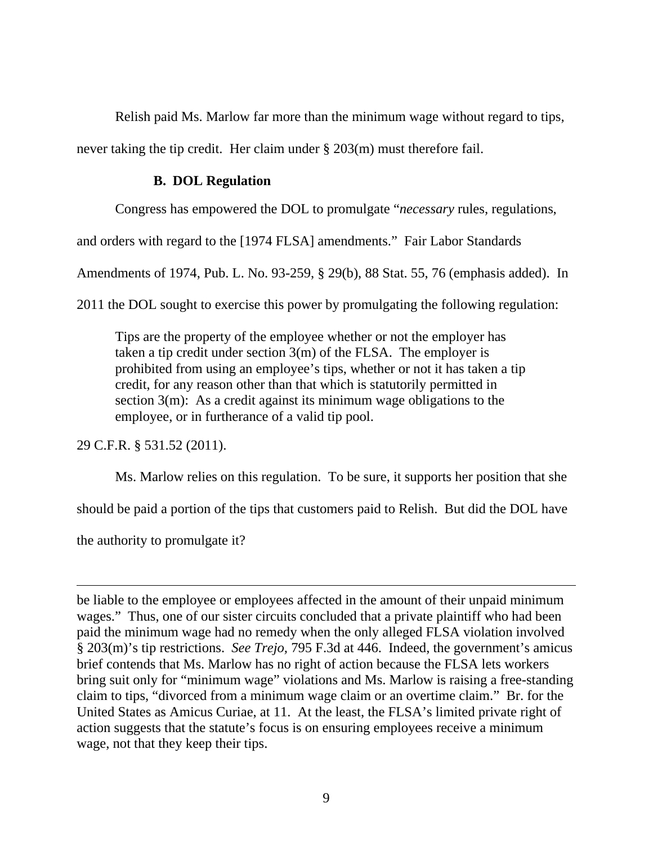Relish paid Ms. Marlow far more than the minimum wage without regard to tips,

never taking the tip credit. Her claim under § 203(m) must therefore fail.

# **B. DOL Regulation**

Congress has empowered the DOL to promulgate "*necessary* rules, regulations,

and orders with regard to the [1974 FLSA] amendments." Fair Labor Standards

Amendments of 1974, Pub. L. No. 93-259, § 29(b), 88 Stat. 55, 76 (emphasis added). In

2011 the DOL sought to exercise this power by promulgating the following regulation:

Tips are the property of the employee whether or not the employer has taken a tip credit under section 3(m) of the FLSA. The employer is prohibited from using an employee's tips, whether or not it has taken a tip credit, for any reason other than that which is statutorily permitted in section  $3(m)$ : As a credit against its minimum wage obligations to the employee, or in furtherance of a valid tip pool.

29 C.F.R. § 531.52 (2011).

Ms. Marlow relies on this regulation. To be sure, it supports her position that she

should be paid a portion of the tips that customers paid to Relish. But did the DOL have

the authority to promulgate it?

 $\overline{a}$ 

be liable to the employee or employees affected in the amount of their unpaid minimum wages." Thus, one of our sister circuits concluded that a private plaintiff who had been paid the minimum wage had no remedy when the only alleged FLSA violation involved § 203(m)'s tip restrictions. *See Trejo,* 795 F.3d at 446. Indeed, the government's amicus brief contends that Ms. Marlow has no right of action because the FLSA lets workers bring suit only for "minimum wage" violations and Ms. Marlow is raising a free-standing claim to tips, "divorced from a minimum wage claim or an overtime claim." Br. for the United States as Amicus Curiae, at 11. At the least, the FLSA's limited private right of action suggests that the statute's focus is on ensuring employees receive a minimum wage, not that they keep their tips.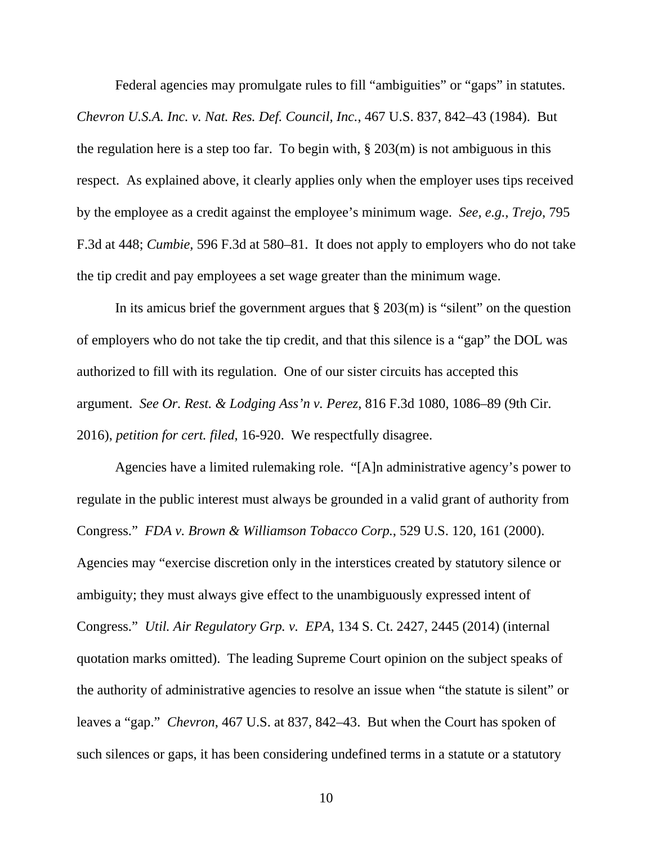Federal agencies may promulgate rules to fill "ambiguities" or "gaps" in statutes.

*Chevron U.S.A. Inc. v. Nat. Res. Def. Council, Inc.*, 467 U.S. 837, 842–43 (1984). But the regulation here is a step too far. To begin with,  $\S 203(m)$  is not ambiguous in this respect. As explained above, it clearly applies only when the employer uses tips received by the employee as a credit against the employee's minimum wage. *See, e.g.*, *Trejo*, 795 F.3d at 448; *Cumbie,* 596 F.3d at 580–81. It does not apply to employers who do not take the tip credit and pay employees a set wage greater than the minimum wage.

In its amicus brief the government argues that  $\S 203(m)$  is "silent" on the question of employers who do not take the tip credit, and that this silence is a "gap" the DOL was authorized to fill with its regulation. One of our sister circuits has accepted this argument. *See Or. Rest. & Lodging Ass'n v. Perez*, 816 F.3d 1080, 1086–89 (9th Cir. 2016), *petition for cert. filed*, 16-920. We respectfully disagree.

Agencies have a limited rulemaking role. "[A]n administrative agency's power to regulate in the public interest must always be grounded in a valid grant of authority from Congress." *FDA v. Brown & Williamson Tobacco Corp.*, 529 U.S. 120, 161 (2000). Agencies may "exercise discretion only in the interstices created by statutory silence or ambiguity; they must always give effect to the unambiguously expressed intent of Congress." *Util. Air Regulatory Grp. v. EPA*, 134 S. Ct. 2427, 2445 (2014) (internal quotation marks omitted). The leading Supreme Court opinion on the subject speaks of the authority of administrative agencies to resolve an issue when "the statute is silent" or leaves a "gap." *Chevron*, 467 U.S. at 837, 842–43. But when the Court has spoken of such silences or gaps, it has been considering undefined terms in a statute or a statutory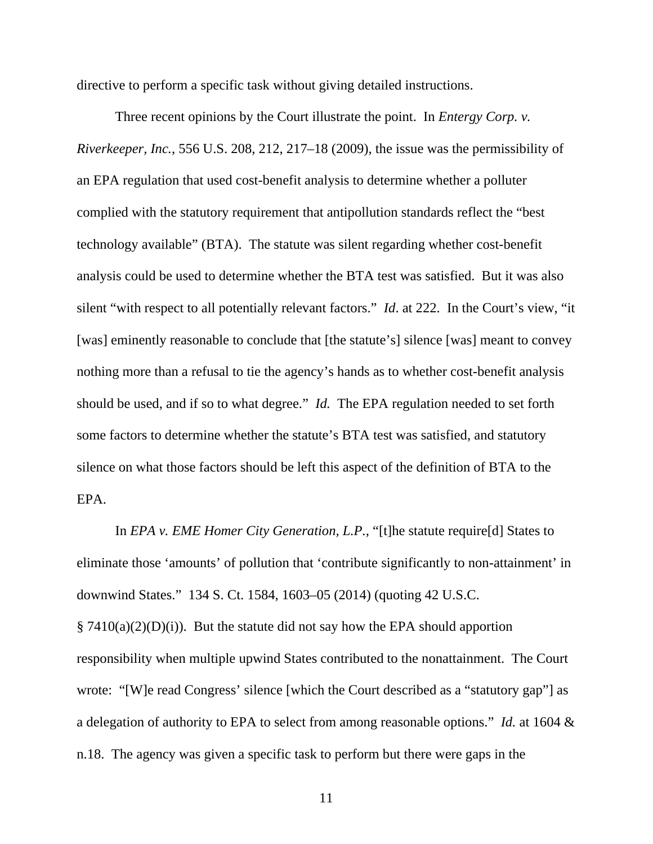directive to perform a specific task without giving detailed instructions.

Three recent opinions by the Court illustrate the point. In *Entergy Corp. v. Riverkeeper, Inc.*, 556 U.S. 208, 212, 217–18 (2009), the issue was the permissibility of an EPA regulation that used cost-benefit analysis to determine whether a polluter complied with the statutory requirement that antipollution standards reflect the "best technology available" (BTA). The statute was silent regarding whether cost-benefit analysis could be used to determine whether the BTA test was satisfied. But it was also silent "with respect to all potentially relevant factors." *Id*. at 222. In the Court's view, "it [was] eminently reasonable to conclude that [the statute's] silence [was] meant to convey nothing more than a refusal to tie the agency's hands as to whether cost-benefit analysis should be used, and if so to what degree." *Id.* The EPA regulation needed to set forth some factors to determine whether the statute's BTA test was satisfied, and statutory silence on what those factors should be left this aspect of the definition of BTA to the EPA.

In *EPA v. EME Homer City Generation, L.P.*, "[t]he statute require[d] States to eliminate those 'amounts' of pollution that 'contribute significantly to non-attainment' in downwind States." 134 S. Ct. 1584, 1603–05 (2014) (quoting 42 U.S.C.  $\S 7410(a)(2)(D)(i)$ . But the statute did not say how the EPA should apportion responsibility when multiple upwind States contributed to the nonattainment. The Court wrote: "[W]e read Congress' silence [which the Court described as a "statutory gap"] as a delegation of authority to EPA to select from among reasonable options." *Id.* at 1604 & n.18. The agency was given a specific task to perform but there were gaps in the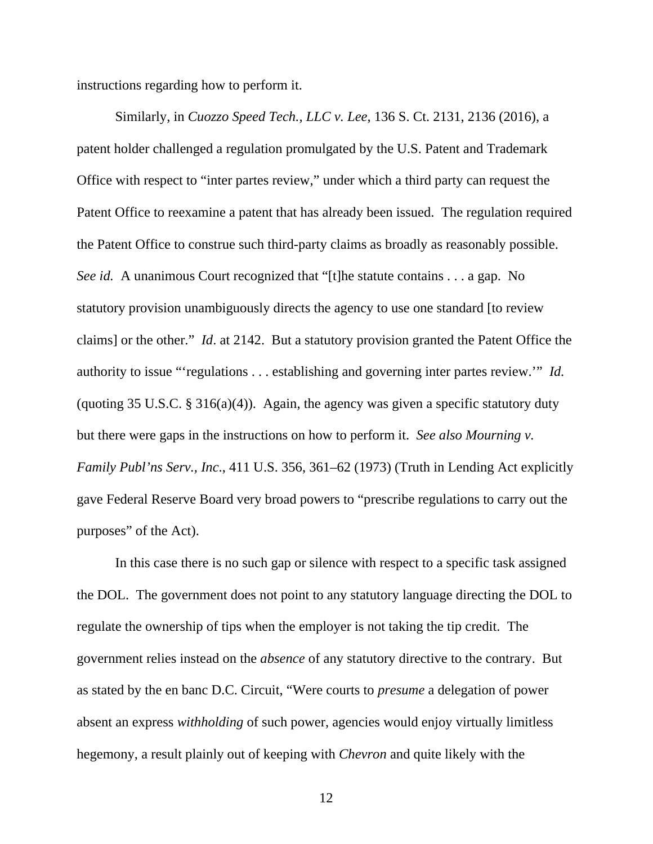instructions regarding how to perform it.

Similarly, in *Cuozzo Speed Tech., LLC v. Lee*, 136 S. Ct. 2131, 2136 (2016), a patent holder challenged a regulation promulgated by the U.S. Patent and Trademark Office with respect to "inter partes review," under which a third party can request the Patent Office to reexamine a patent that has already been issued. The regulation required the Patent Office to construe such third-party claims as broadly as reasonably possible. *See id.* A unanimous Court recognized that "[t]he statute contains . . . a gap. No statutory provision unambiguously directs the agency to use one standard [to review claims] or the other." *Id*. at 2142. But a statutory provision granted the Patent Office the authority to issue "'regulations . . . establishing and governing inter partes review.'" *Id.*  (quoting 35 U.S.C.  $\S 316(a)(4)$ ). Again, the agency was given a specific statutory duty but there were gaps in the instructions on how to perform it. *See also Mourning v. Family Publ'ns Serv., Inc*., 411 U.S. 356, 361–62 (1973) (Truth in Lending Act explicitly gave Federal Reserve Board very broad powers to "prescribe regulations to carry out the purposes" of the Act).

In this case there is no such gap or silence with respect to a specific task assigned the DOL. The government does not point to any statutory language directing the DOL to regulate the ownership of tips when the employer is not taking the tip credit. The government relies instead on the *absence* of any statutory directive to the contrary. But as stated by the en banc D.C. Circuit, "Were courts to *presume* a delegation of power absent an express *withholding* of such power, agencies would enjoy virtually limitless hegemony, a result plainly out of keeping with *Chevron* and quite likely with the